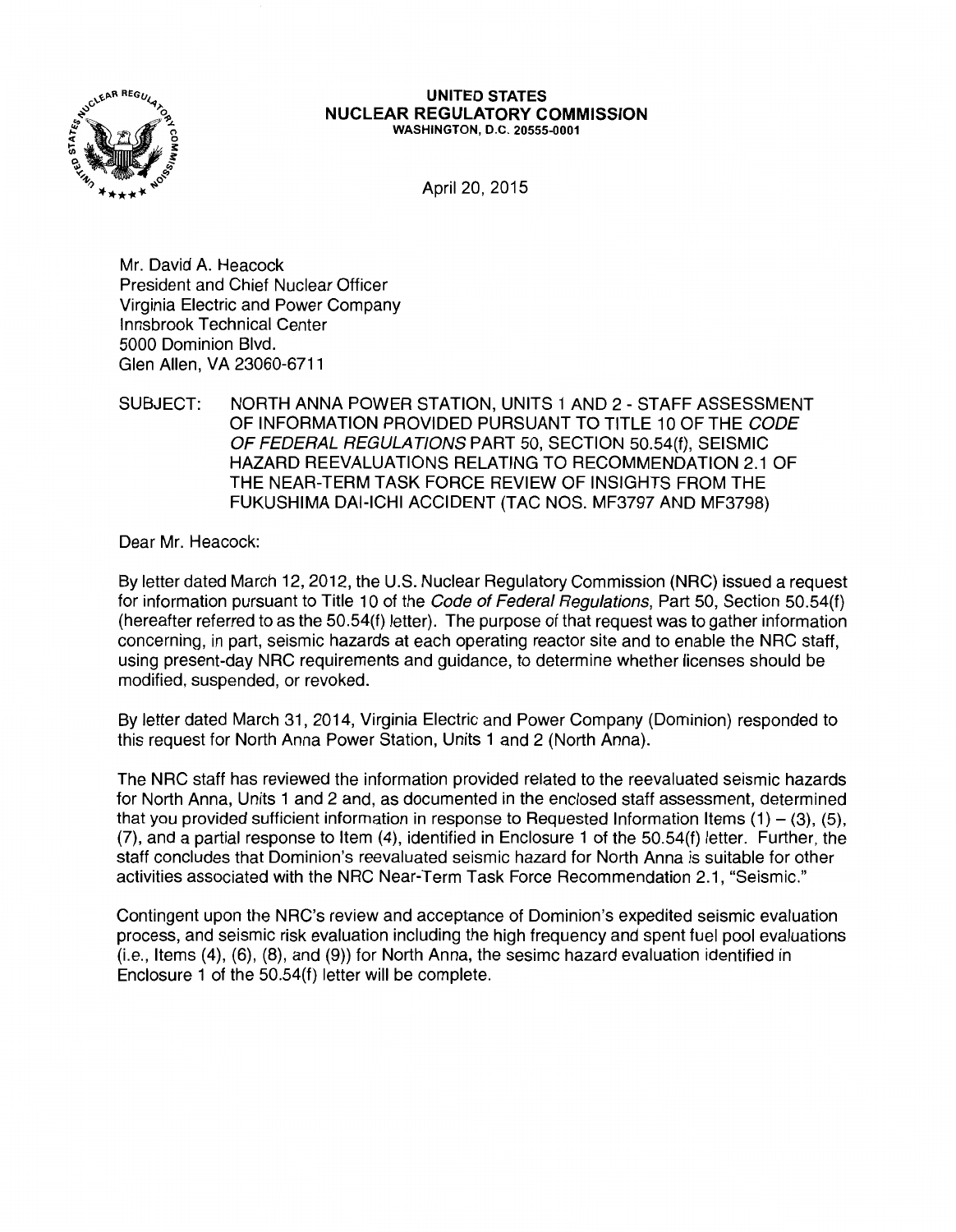

#### UNITED STATES NUCLEAR REGULATORY COMMISSION WASHINGTON, D.C. 20555-0001

April 20, 2015

Mr. David A. Heacock President and Chief Nuclear Officer Virginia Electric and Power Company Innsbrook Technical Center 5000 Dominion Blvd. Glen Allen, VA 23060-6711

### SUBJECT: NORTH ANNA POWER STATION, UNITS 1 AND 2 - STAFF ASSESSMENT OF INFORMATION PROVIDED PURSUANT TO TITLE 10 OF THE CODE OF FEDERAL REGULATIONS PART 50, SECTION 50.54(f), SEISMIC HAZARD REEVALUATIONS RELATING TO RECOMMENDATION 2.1 OF THE NEAR-TERM TASK FORCE REVIEW OF INSIGHTS FROM THE FUKUSHIMA DAl-ICHI ACCIDENT (TAC NOS. MF3797 AND MF3798)

Dear Mr. Heacock:

By letter dated March 12, 2012, the U.S. Nuclear Regulatory Commission (NRC) issued a request for information pursuant to Title 10 of the Code of Federal Regulations, Part 50, Section 50.54(f) (hereafter referred to as the 50.54(f) letter). The purpose of that request was to gather information concerning, in part, seismic hazards at each operating reactor site and to enable the NRC staff, using present-day NRC requirements and guidance, to determine whether licenses should be modified, suspended, or revoked.

By letter dated March 31, 2014, Virginia Electric and Power Company (Dominion) responded to this request for North Anna Power Station, Units 1 and 2 (North Anna).

The NRC staff has reviewed the information provided related to the reevaluated seismic hazards for North Anna, Units 1 and 2 and, as documented in the enclosed staff assessment, determined that you provided sufficient information in response to Requested Information Items  $(1) - (3)$ ,  $(5)$ , (7), and a partial response to Item (4), identified in Enclosure 1 of the 50.54(f) letter. Further, the staff concludes that Dominion's reevaluated seismic hazard for North Anna is suitable for other activities associated with the NRC Near-Term Task Force Recommendation 2.1, "Seismic."

Contingent upon the NRC's review and acceptance of Dominion's expedited seismic evaluation process, and seismic risk evaluation including the high frequency and spent fuel pool evaluations (i.e., Items (4), (6), (8), and (9)) for North Anna, the sesimc hazard evaluation identified in Enclosure 1 of the 50.54(f) letter will be complete.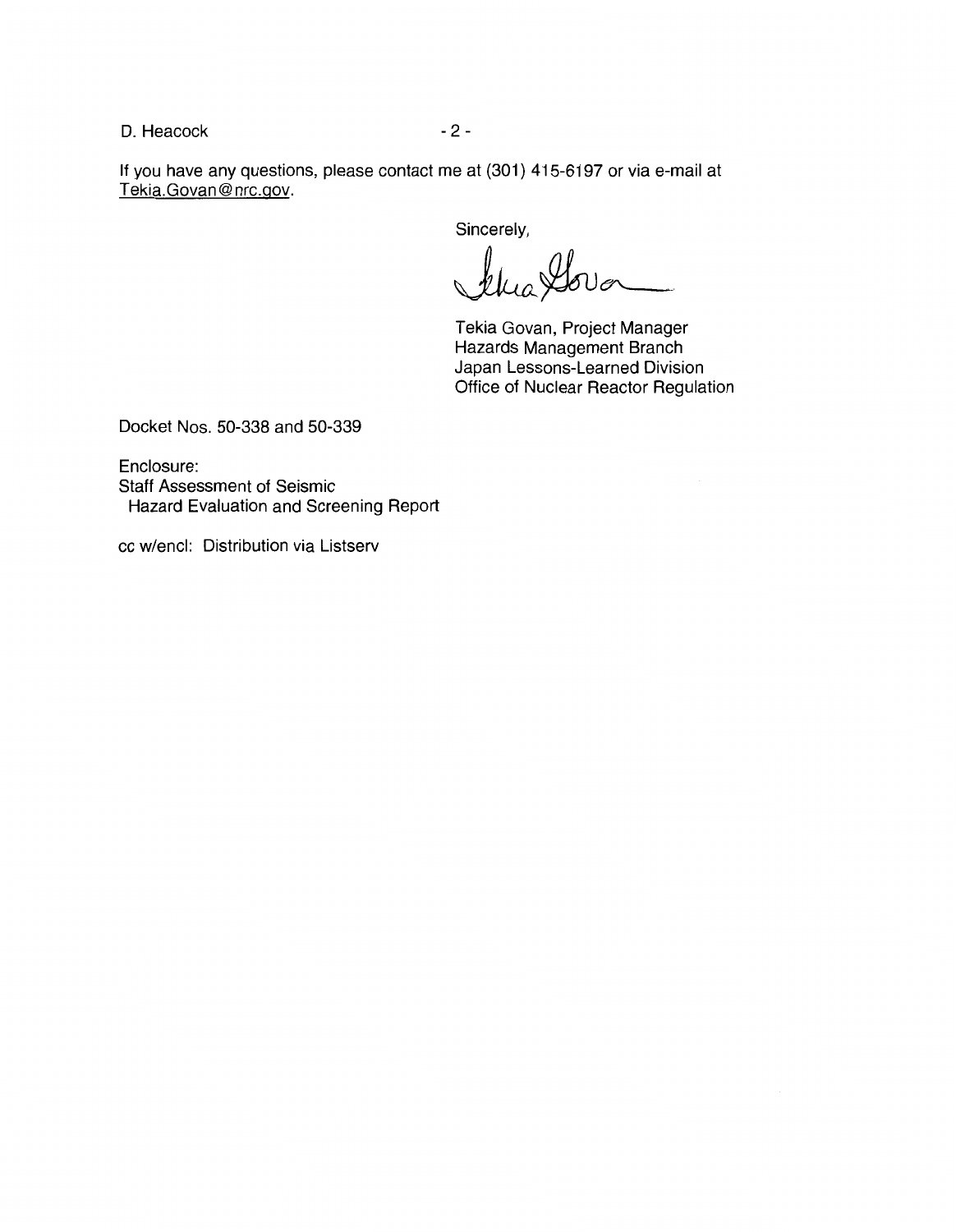D. Heacock 2 - 2 -

If you have any questions, please contact me at (301) 415-6197 or via e-mail at Tekia.Govan@nrc.gov.

Sincerely,

the Gover

Tekia Govan, Project Manager Hazards Management Branch Japan Lessons-Learned Division Office of Nuclear Reactor Regulation

Docket Nos. 50-338 and 50-339

Enclosure: Staff Assessment of Seismic Hazard Evaluation and Screening Report

cc w/encl: Distribution via Listserv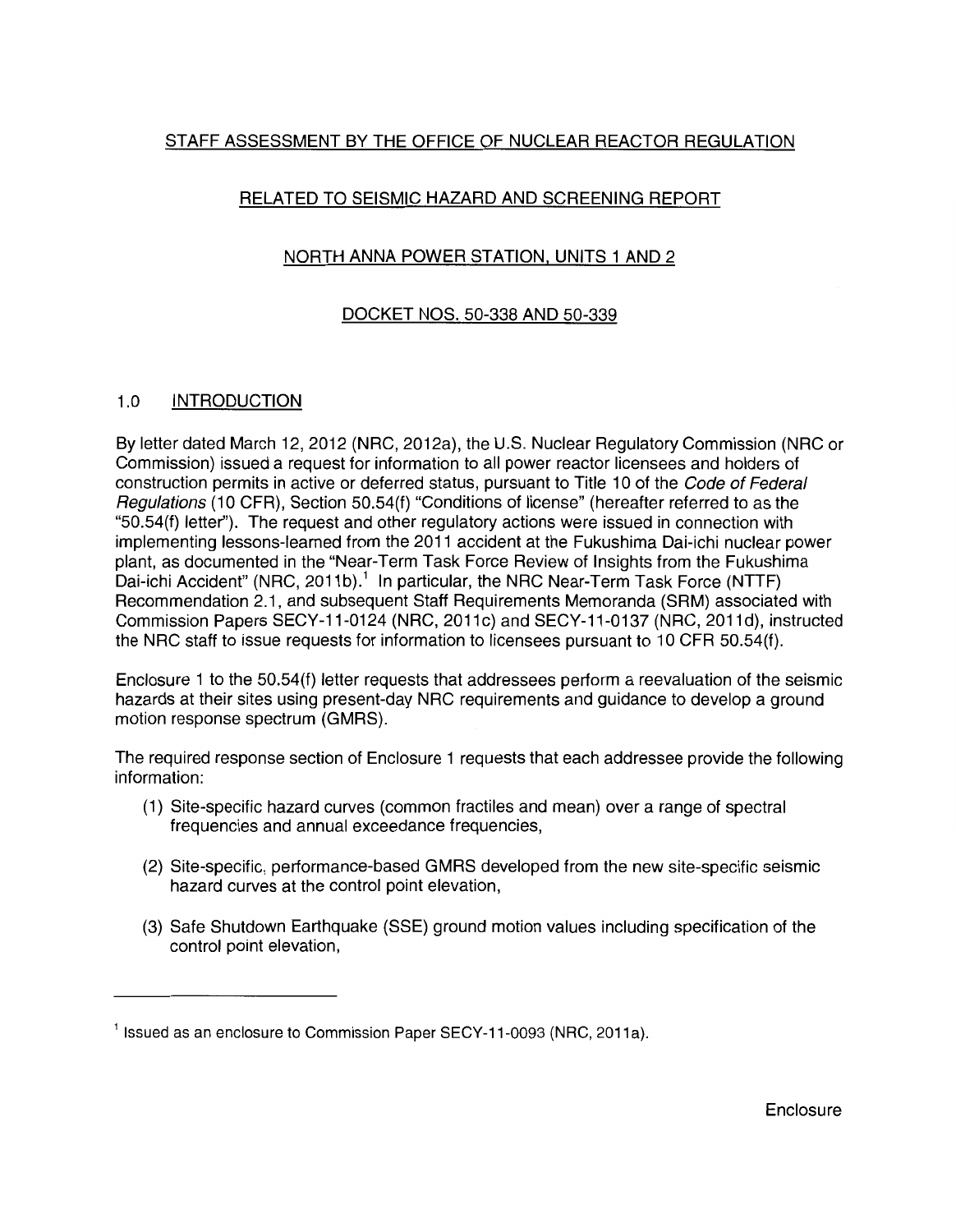# STAFF ASSESSMENT BY THE OFFICE OF NUCLEAR REACTOR REGULATION

# RELATED TO SEISMIC HAZARD AND SCREENING REPORT

# NORTH ANNA POWER STATION, UNITS 1 AND 2

# DOCKET NOS. 50-338 AND 50-339

## 1.0 INTRODUCTION

By letter dated March 12, 2012 (NRC, 2012a), the U.S. Nuclear Regulatory Commission (NRC or Commission) issued a request for information to all power reactor licensees and holders of construction permits in active or deferred status, pursuant to Title 10 of the Code of Federal Regulations (10 CFR), Section 50.54(f) "Conditions of license" (hereafter referred to as the "50.54(f) letter"). The request and other regulatory actions were issued in connection with implementing lessons-learned from the 2011 accident at the Fukushima Dai-ichi nuclear power plant, as documented in the "Near-Term Task Force Review of Insights from the Fukushima Dai-ichi Accident" (NRC, 2011b).<sup>1</sup> In particular, the NRC Near-Term Task Force (NTTF) Recommendation 2.1, and subsequent Staff Requirements Memoranda (SRM) associated with Commission Papers SECY-11-0124 (NRC, 2011c) and SECY-11-0137 (NRC, 2011d), instructed the NRC staff to issue requests for information to licensees pursuant to 10 CFR 50.54(f).

Enclosure 1 to the 50.54(f) letter requests that addressees perform a reevaluation of the seismic hazards at their sites using present-day NRC requirements and guidance to develop a ground motion response spectrum (GMRS).

The required response section of Enclosure 1 requests that each addressee provide the following information:

- (1) Site-specific hazard curves (common fractiles and mean) over a range of spectral frequencies and annual exceedance frequencies,
- (2) Site-specific, performance-based GMRS developed from the new site-specific seismic hazard curves at the control point elevation,
- (3) Safe Shutdown Earthquake (SSE) ground motion values including specification of the control point elevation,

 $1$  Issued as an enclosure to Commission Paper SECY-11-0093 (NRC, 2011a).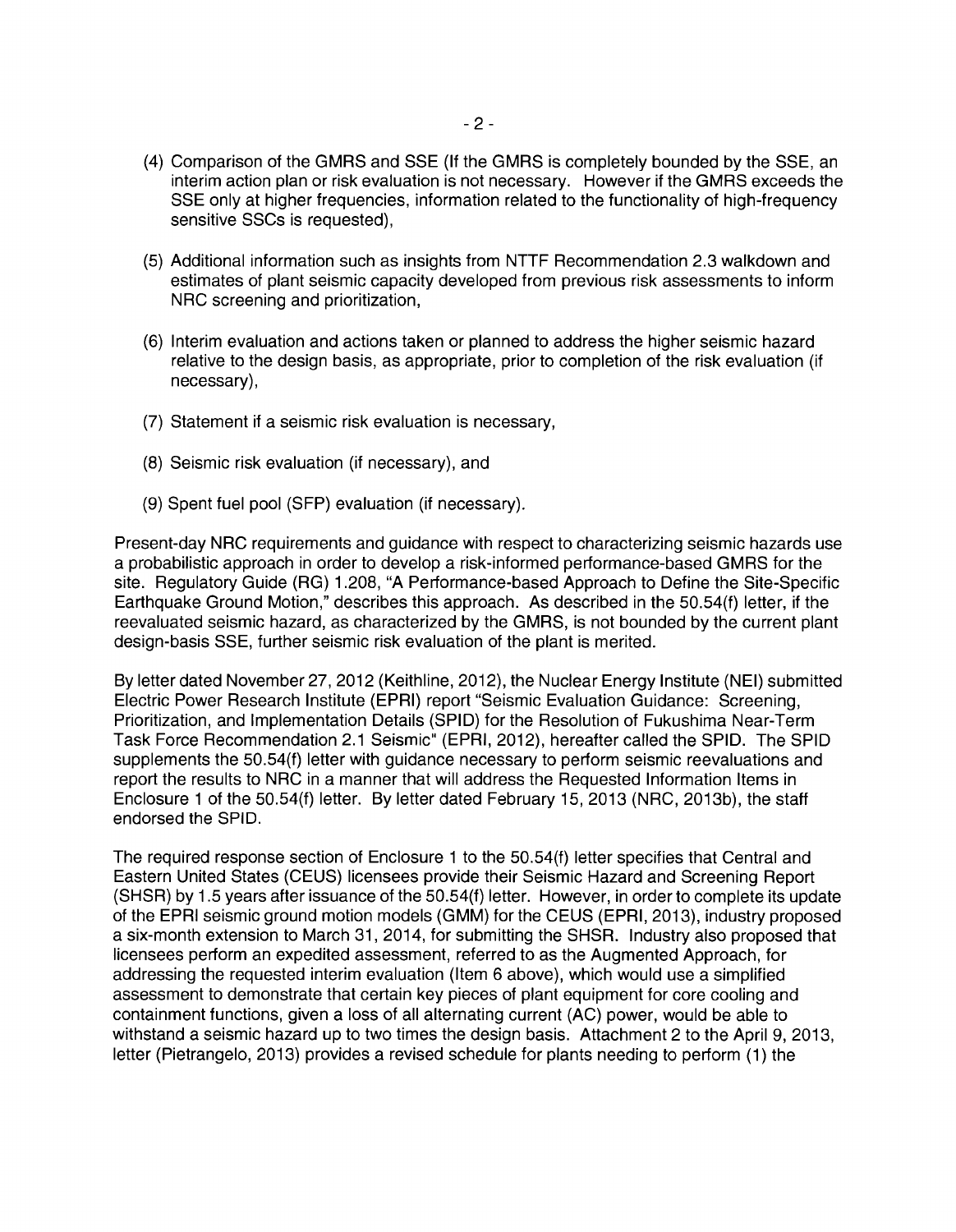- (4) Comparison of the GMRS and SSE (If the GMRS is completely bounded by the SSE, an interim action plan or risk evaluation is not necessary. However if the GMRS exceeds the SSE only at higher frequencies, information related to the functionality of high-frequency sensitive SSCs is requested),
- (5) Additional information such as insights from NTTF Recommendation 2.3 walkdown and estimates of plant seismic capacity developed from previous risk assessments to inform NRC screening and prioritization,
- (6) Interim evaluation and actions taken or planned to address the higher seismic hazard relative to the design basis, as appropriate, prior to completion of the risk evaluation (if necessary),
- (7) Statement if a seismic risk evaluation is necessary,
- (8) Seismic risk evaluation (if necessary), and
- (9) Spent fuel pool (SFP) evaluation (if necessary).

Present-day NRC requirements and guidance with respect to characterizing seismic hazards use a probabilistic approach in order to develop a risk-informed performance-based GMRS for the site. Regulatory Guide (RG) 1.208, "A Performance-based Approach to Define the Site-Specific Earthquake Ground Motion," describes this approach. As described in the 50.54(f) letter, if the reevaluated seismic hazard, as characterized by the GMRS, is not bounded by the current plant design-basis SSE, further seismic risk evaluation of the plant is merited.

By letter dated November 27, 2012 (Keithline, 2012), the Nuclear Energy Institute (NEI) submitted Electric Power Research Institute (EPRI) report "Seismic Evaluation Guidance: Screening, Prioritization, and Implementation Details (SPID) for the Resolution of Fukushima Near-Term Task Force Recommendation 2.1 Seismic" (EPRI, 2012), hereafter called the SPID. The SPID supplements the 50.54(f) letter with guidance necessary to perform seismic reevaluations and report the results to NRC in a manner that will address the Requested Information Items in Enclosure 1 of the 50.54(f) letter. By letter dated February 15, 2013 (NRC, 2013b), the staff endorsed the SPID.

The required response section of Enclosure 1 to the 50.54(f) letter specifies that Central and Eastern United States (CEUS) licensees provide their Seismic Hazard and Screening Report (SHSR) by 1.5 years after issuance of the 50.54(f) letter. However, in order to complete its update of the EPRI seismic ground motion models (GMM) for the CEUS (EPRI, 2013), industry proposed a six-month extension to March 31, 2014, for submitting the SHSR. Industry also proposed that licensees perform an expedited assessment, referred to as the Augmented Approach, for addressing the requested interim evaluation (Item 6 above), which would use a simplified assessment to demonstrate that certain key pieces of plant equipment for core cooling and containment functions, given a loss of all alternating current (AC) power, would be able to withstand a seismic hazard up to two times the design basis. Attachment 2 to the April 9, 2013, letter (Pietrangelo, 2013) provides a revised schedule for plants needing to perform (1) the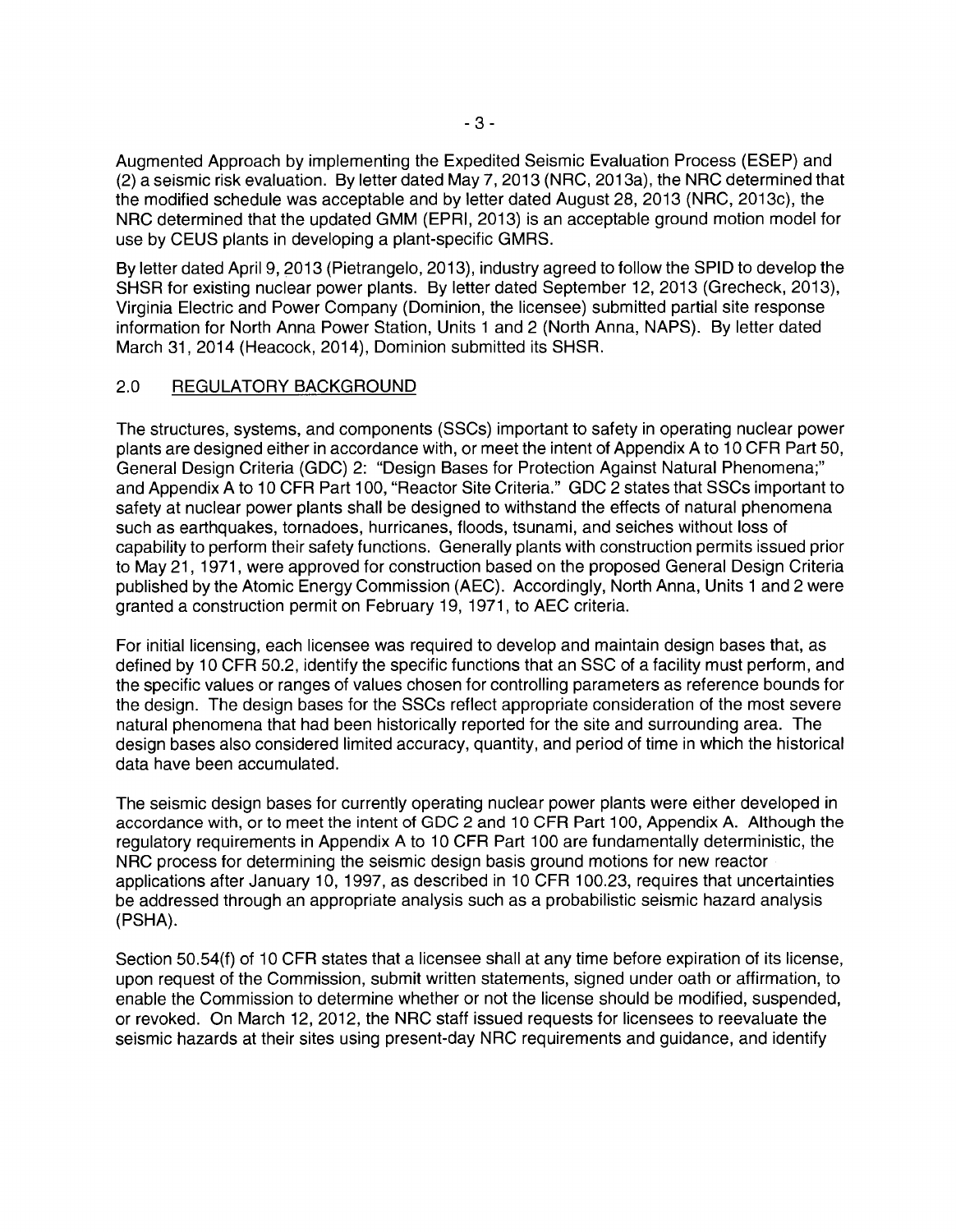Augmented Approach by implementing the Expedited Seismic Evaluation Process (ESEP) and (2) a seismic risk evaluation. By letter dated May 7, 2013 (NRC, 2013a), the NRC determined that the modified schedule was acceptable and by letter dated August 28, 2013 (NRC, 2013c), the NRC determined that the updated GMM (EPRI, 2013) is an acceptable ground motion model for use by CEUS plants in developing a plant-specific GMRS.

By letter dated April 9, 2013 (Pietrangelo, 2013), industry agreed to follow the SPID to develop the SHSR for existing nuclear power plants. By letter dated September 12, 2013 (Grecheck, 2013), Virginia Electric and Power Company (Dominion, the licensee) submitted partial site response information for North Anna Power Station, Units 1 and 2 (North Anna, NAPS). By letter dated March 31, 2014 (Heacock, 2014), Dominion submitted its SHSR.

## 2.0 REGULATORY BACKGROUND

The structures, systems, and components (SSCs) important to safety in operating nuclear power plants are designed either in accordance with, or meet the intent of Appendix A to 10 CFR Part 50, General Design Criteria (GDC) 2: "Design Bases for Protection Against Natural Phenomena;" and Appendix A to 10 CFR Part 100, "Reactor Site Criteria." GDC 2 states that SSCs important to safety at nuclear power plants shall be designed to withstand the effects of natural phenomena such as earthquakes, tornadoes, hurricanes, floods, tsunami, and seiches without loss of capability to perform their safety functions. Generally plants with construction permits issued prior to May 21, 1971, were approved for construction based on the proposed General Design Criteria published by the Atomic Energy Commission (AEC). Accordingly, North Anna, Units 1 and 2 were granted a construction permit on February 19, 1971, to AEC criteria.

For initial licensing, each licensee was required to develop and maintain design bases that, as defined by 10 CFR 50.2, identify the specific functions that an SSC of a facility must perform, and the specific values or ranges of values chosen for controlling parameters as reference bounds for the design. The design bases for the SSCs reflect appropriate consideration of the most severe natural phenomena that had been historically reported for the site and surrounding area. The design bases also considered limited accuracy, quantity, and period of time in which the historical data have been accumulated.

The seismic design bases for currently operating nuclear power plants were either developed in accordance with, or to meet the intent of GDC 2 and 10 CFR Part 100, Appendix A. Although the regulatory requirements in Appendix A to 10 CFR Part 100 are fundamentally deterministic, the NRC process for determining the seismic design basis ground motions for new reactor applications after January 10, 1997, as described in 10 CFR 100.23, requires that uncertainties be addressed through an appropriate analysis such as a probabilistic seismic hazard analysis (PSHA).

Section 50.54(f) of 10 CFR states that a licensee shall at any time before expiration of its license, upon request of the Commission, submit written statements, signed under oath or affirmation, to enable the Commission to determine whether or not the license should be modified, suspended, or revoked. On March 12, 2012, the NRC staff issued requests for licensees to reevaluate the seismic hazards at their sites using present-day NRC requirements and guidance, and identify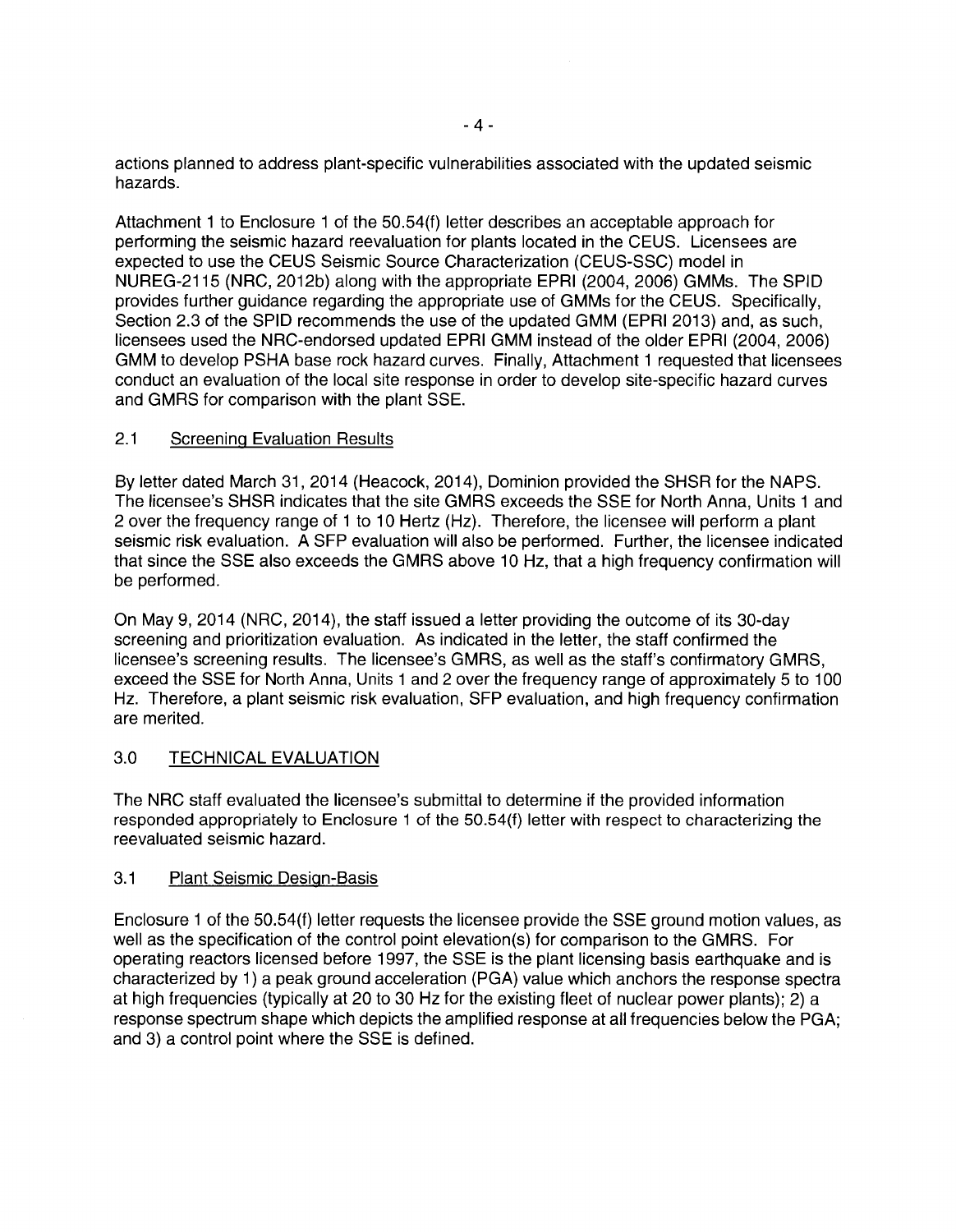actions planned to address plant-specific vulnerabilities associated with the updated seismic hazards.

Attachment 1 to Enclosure 1 of the 50.54(f) letter describes an acceptable approach for performing the seismic hazard reevaluation for plants located in the CEUS. Licensees are expected to use the CEUS Seismic Source Characterization (CEUS-SSC) model in NUREG-2115 (NRC, 2012b) along with the appropriate EPRI (2004, 2006) GMMs. The SPID provides further guidance regarding the appropriate use of GMMs for the CEUS. Specifically, Section 2.3 of the SPID recommends the use of the updated GMM (EPRI 2013) and, as such, licensees used the NRG-endorsed updated EPRI GMM instead of the older EPRI (2004, 2006) GMM to develop PSHA base rock hazard curves. Finally, Attachment 1 requested that licensees conduct an evaluation of the local site response in order to develop site-specific hazard curves and GMRS for comparison with the plant SSE.

### 2.1 Screening Evaluation Results

By letter dated March 31, 2014 (Heacock, 2014), Dominion provided the SHSR for the NAPS. The licensee's SHSR indicates that the site GMRS exceeds the SSE for North Anna, Units 1 and 2 over the frequency range of 1 to 10 Hertz (Hz). Therefore, the licensee will perform a plant seismic risk evaluation. A SFP evaluation will also be performed. Further, the licensee indicated that since the SSE also exceeds the GMRS above 10 Hz, that a high frequency confirmation will be performed.

On May 9, 2014 (NRC, 2014), the staff issued a letter providing the outcome of its 30-day screening and prioritization evaluation. As indicated in the letter, the staff confirmed the licensee's screening results. The licensee's GMRS, as well as the staff's confirmatory GMRS, exceed the SSE for North Anna, Units 1 and 2 over the frequency range of approximately 5 to 100 Hz. Therefore, a plant seismic risk evaluation, SFP evaluation, and high frequency confirmation are merited.

## 3.0 TECHNICAL EVALUATION

The NRC staff evaluated the licensee's submittal to determine if the provided information responded appropriately to Enclosure 1 of the 50.54(f) letter with respect to characterizing the reevaluated seismic hazard.

### 3.1 Plant Seismic Design-Basis

Enclosure 1 of the 50.54(f) letter requests the licensee provide the SSE ground motion values, as well as the specification of the control point elevation(s) for comparison to the GMRS. For operating reactors licensed before 1997, the SSE is the plant licensing basis earthquake and is characterized by 1) a peak ground acceleration (PGA) value which anchors the response spectra at high frequencies (typically at 20 to 30 Hz for the existing fleet of nuclear power plants); 2) a response spectrum shape which depicts the amplified response at all frequencies below the PGA; and 3) a control point where the SSE is defined.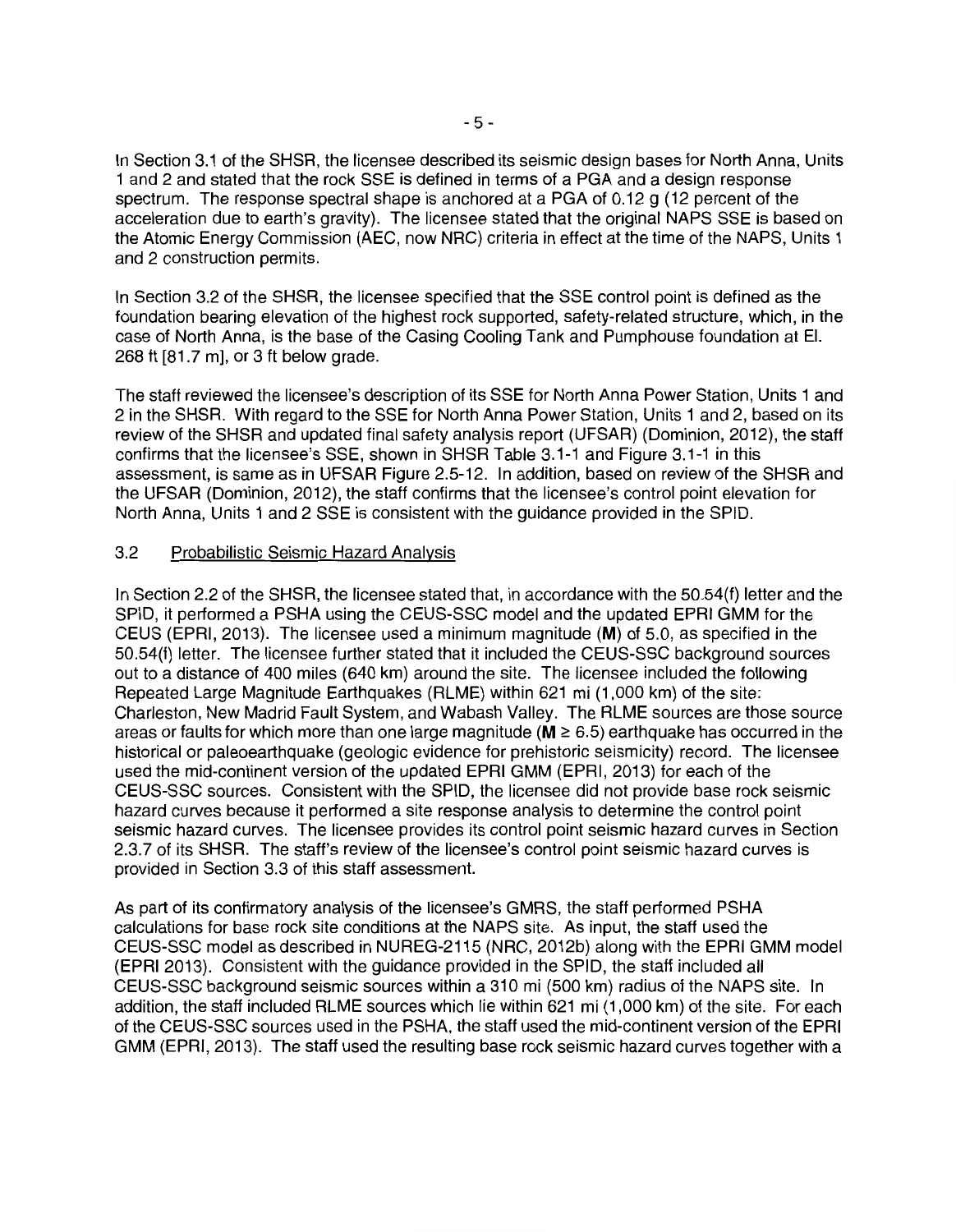In Section 3.1 of the SHSR, the licensee described its seismic design bases for North Anna, Units 1 and 2 and stated that the rock SSE is defined in terms of a PGA and a design response spectrum. The response spectral shape is anchored at a PGA of 0.12 g (12 percent of the acceleration due to earth's gravity). The licensee stated that the original NAPS SSE is based on the Atomic Energy Commission (AEC, now NRC) criteria in effect at the time of the NAPS, Units 1 and 2 construction permits.

In Section 3.2 of the SHSR, the licensee specified that the SSE control point is defined as the foundation bearing elevation of the highest rock supported, safety-related structure, which, in the case of North Anna, is the base of the Casing Cooling Tank and Pumphouse foundation at El. 268 ft [81.7 m], or 3 ft below grade.

The staff reviewed the licensee's description of its SSE for North Anna Power Station, Units 1 and 2 in the SHSR. With regard to the SSE for North Anna Power Station, Units 1 and 2, based on its review of the SHSR and updated final safety analysis report (UFSAR) (Dominion, 2012), the staff confirms that the licensee's SSE, shown in SHSR Table 3.1-1 and Figure 3.1-1 in this assessment, is same as in UFSAR Figure 2.5-12. In addition, based on review of the SHSR and the UFSAR (Dominion, 2012), the staff confirms that the licensee's control point elevation for North Anna, Units 1 and 2 SSE is consistent with the guidance provided in the SPID.

## 3.2 Probabilistic Seismic Hazard Analysis

In Section 2.2 of the SHSR, the licensee stated that, in accordance with the 50.54(f) letter and the SPID, it performed a PSHA using the CEUS-SSC model and the updated EPRI GMM for the CEUS (EPRI, 2013). The licensee used a minimum magnitude (M) of 5.0, as specified in the 50.54(f) letter. The licensee further stated that it included the CEUS-SSC background sources out to a distance of 400 miles (640 km) around the site. The licensee included the following Repeated Large Magnitude Earthquakes (ALME) within 621 mi (1,000 km) of the site: Charleston, New Madrid Fault System, and Wabash Valley. The RLME sources are those source areas or faults for which more than one large magnitude ( $M \geq 6.5$ ) earthquake has occurred in the historical or paleoearthquake (geologic evidence for prehistoric seismicity) record. The licensee used the mid-continent version of the updated EPRI GMM (EPRI, 2013) for each of the CEUS-SSC sources. Consistent with the SPID, the licensee did not provide base rock seismic hazard curves because it performed a site response analysis to determine the control point seismic hazard curves. The licensee provides its control point seismic hazard curves in Section 2.3. 7 of its SHSR. The staff's review of the licensee's control point seismic hazard curves is provided in Section 3.3 of this staff assessment.

As part of its confirmatory analysis of the licensee's GMRS, the staff performed PSHA calculations for base rock site conditions at the NAPS site. As input, the staff used the CEUS-SSC model as described in NUREG-2115 (NRC, 2012b) along with the EPRI GMM model (EPRI 2013). Consistent with the guidance provided in the SPID, the staff included all CEUS-SSC background seismic sources within a 310 mi (500 km) radius of the NAPS site. In addition, the staff included RLME sources which lie within 621 mi (1,000 km) of the site. For each of the CEUS-SSC sources used in the PSHA, the staff used the mid-continent version of the EPRI GMM (EPRI, 2013). The staff used the resulting base rock seismic hazard curves together with a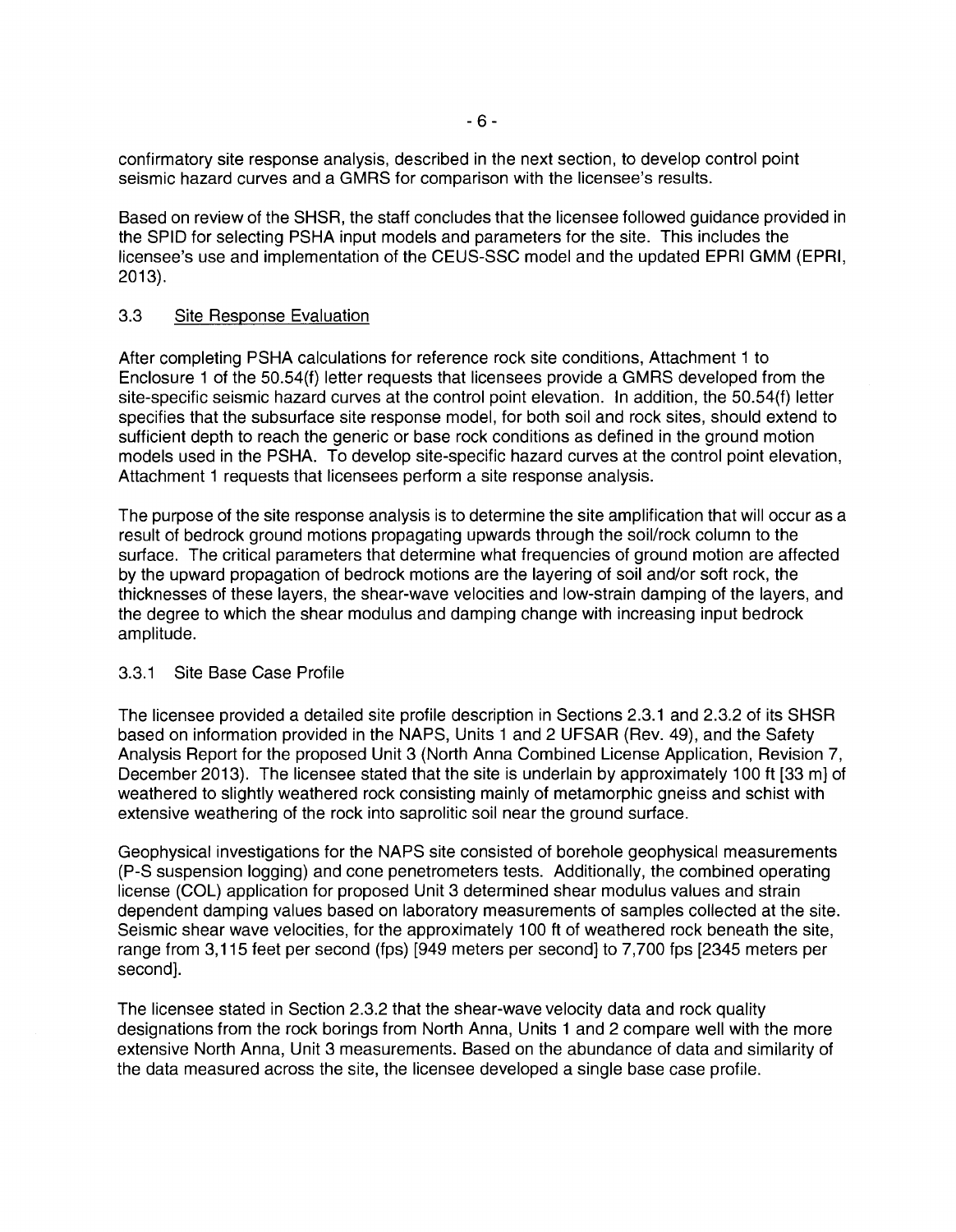confirmatory site response analysis, described in the next section, to develop control point seismic hazard curves and a GMRS for comparison with the licensee's results.

Based on review of the SHSR, the staff concludes that the licensee followed guidance provided in the SPID for selecting PSHA input models and parameters for the site. This includes the licensee's use and implementation of the CEUS-SSC model and the updated EPRI GMM (EPRI, 2013).

### 3.3 Site Response Evaluation

After completing PSHA calculations for reference rock site conditions, Attachment 1 to Enclosure 1 of the 50.54(f) letter requests that licensees provide a GMRS developed from the site-specific seismic hazard curves at the control point elevation. In addition, the 50.54(f) letter specifies that the subsurface site response model, for both soil and rock sites, should extend to sufficient depth to reach the generic or base rock conditions as defined in the ground motion models used in the PSHA. To develop site-specific hazard curves at the control point elevation, Attachment 1 requests that licensees perform a site response analysis.

The purpose of the site response analysis is to determine the site amplification that will occur as a result of bedrock ground motions propagating upwards through the soil/rock column to the surface. The critical parameters that determine what frequencies of ground motion are affected by the upward propagation of bedrock motions are the layering of soil and/or soft rock, the thicknesses of these layers, the shear-wave velocities and low-strain damping of the layers, and the degree to which the shear modulus and damping change with increasing input bedrock amplitude.

### 3.3.1 Site Base Case Profile

The licensee provided a detailed site profile description in Sections 2.3.1 and 2.3.2 of its SHSR based on information provided in the NAPS, Units 1 and 2 UFSAR (Rev. 49), and the Safety Analysis Report for the proposed Unit 3 (North Anna Combined License Application, Revision 7, December 2013). The licensee stated that the site is underlain by approximately 100 ft [33 m] of weathered to slightly weathered rock consisting mainly of metamorphic gneiss and schist with extensive weathering of the rock into saprolitic soil near the ground surface.

Geophysical investigations for the NAPS site consisted of borehole geophysical measurements (P-S suspension logging) and cone penetrometers tests. Additionally, the combined operating license (COL) application for proposed Unit 3 determined shear modulus values and strain dependent damping values based on laboratory measurements of samples collected at the site. Seismic shear wave velocities, for the approximately 100 ft of weathered rock beneath the site, range from 3, 115 feet per second (fps) [949 meters per second] to 7,700 fps [2345 meters per second].

The licensee stated in Section 2.3.2 that the shear-wave velocity data and rock quality designations from the rock borings from North Anna, Units 1 and 2 compare well with the more extensive North Anna, Unit 3 measurements. Based on the abundance of data and similarity of the data measured across the site, the licensee developed a single base case profile.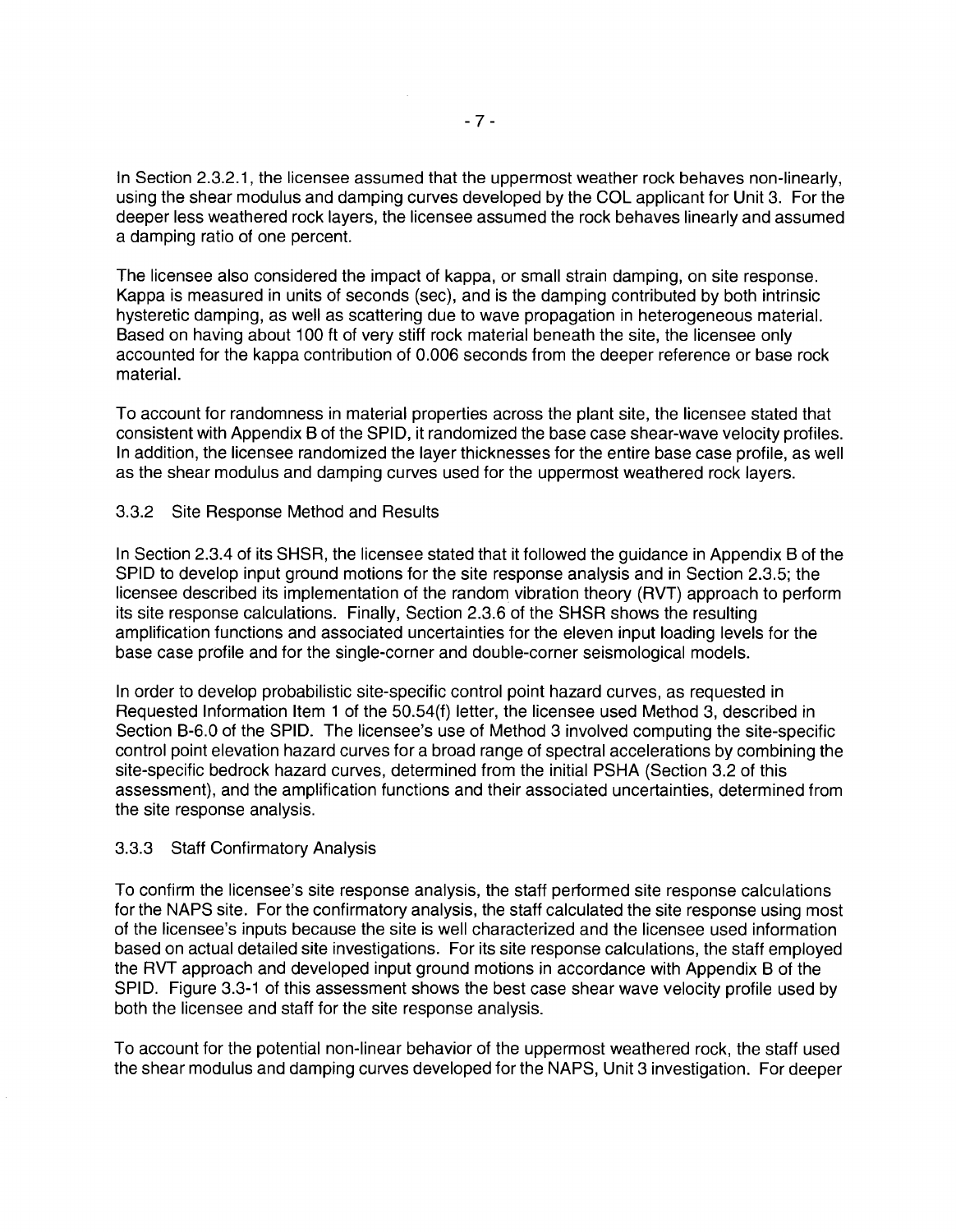In Section 2.3.2.1, the licensee assumed that the uppermost weather rock behaves non-linearly, using the shear modulus and damping curves developed by the COL applicant for Unit 3. For the deeper less weathered rock layers, the licensee assumed the rock behaves linearly and assumed a damping ratio of one percent.

The licensee also considered the impact of kappa, or small strain damping, on site response. Kappa is measured in units of seconds (sec), and is the damping contributed by both intrinsic hysteretic damping, as well as scattering due to wave propagation in heterogeneous material. Based on having about 100 ft of very stiff rock material beneath the site, the licensee only accounted for the kappa contribution of 0.006 seconds from the deeper reference or base rock material.

To account for randomness in material properties across the plant site, the licensee stated that consistent with Appendix B of the SPID, it randomized the base case shear-wave velocity profiles. In addition, the licensee randomized the layer thicknesses for the entire base case profile, as well as the shear modulus and damping curves used for the uppermost weathered rock layers.

### 3.3.2 Site Response Method and Results

In Section 2.3.4 of its SHSR, the licensee stated that it followed the guidance in Appendix B of the SPID to develop input ground motions for the site response analysis and in Section 2.3.5; the licensee described its implementation of the random vibration theory (RVT) approach to perform its site response calculations. Finally, Section 2.3.6 of the SHSR shows the resulting amplification functions and associated uncertainties for the eleven input loading levels for the base case profile and for the single-corner and double-corner seismological models.

In order to develop probabilistic site-specific control point hazard curves, as requested in Requested Information Item 1 of the 50.54(f) letter, the licensee used Method 3, described in Section B-6.0 of the SPID. The licensee's use of Method 3 involved computing the site-specific control point elevation hazard curves for a broad range of spectral accelerations by combining the site-specific bedrock hazard curves, determined from the initial PSHA (Section 3.2 of this assessment), and the amplification functions and their associated uncertainties, determined from the site response analysis.

#### 3.3.3 Staff Confirmatory Analysis

To confirm the licensee's site response analysis, the staff performed site response calculations for the NAPS site. For the confirmatory analysis, the staff calculated the site response using most of the licensee's inputs because the site is well characterized and the licensee used information based on actual detailed site investigations. For its site response calculations, the staff employed the RVT approach and developed input ground motions in accordance with Appendix B of the SPID. Figure 3.3-1 of this assessment shows the best case shear wave velocity profile used by both the licensee and staff for the site response analysis.

To account for the potential non-linear behavior of the uppermost weathered rock, the staff used the shear modulus and damping curves developed for the NAPS, Unit 3 investigation. For deeper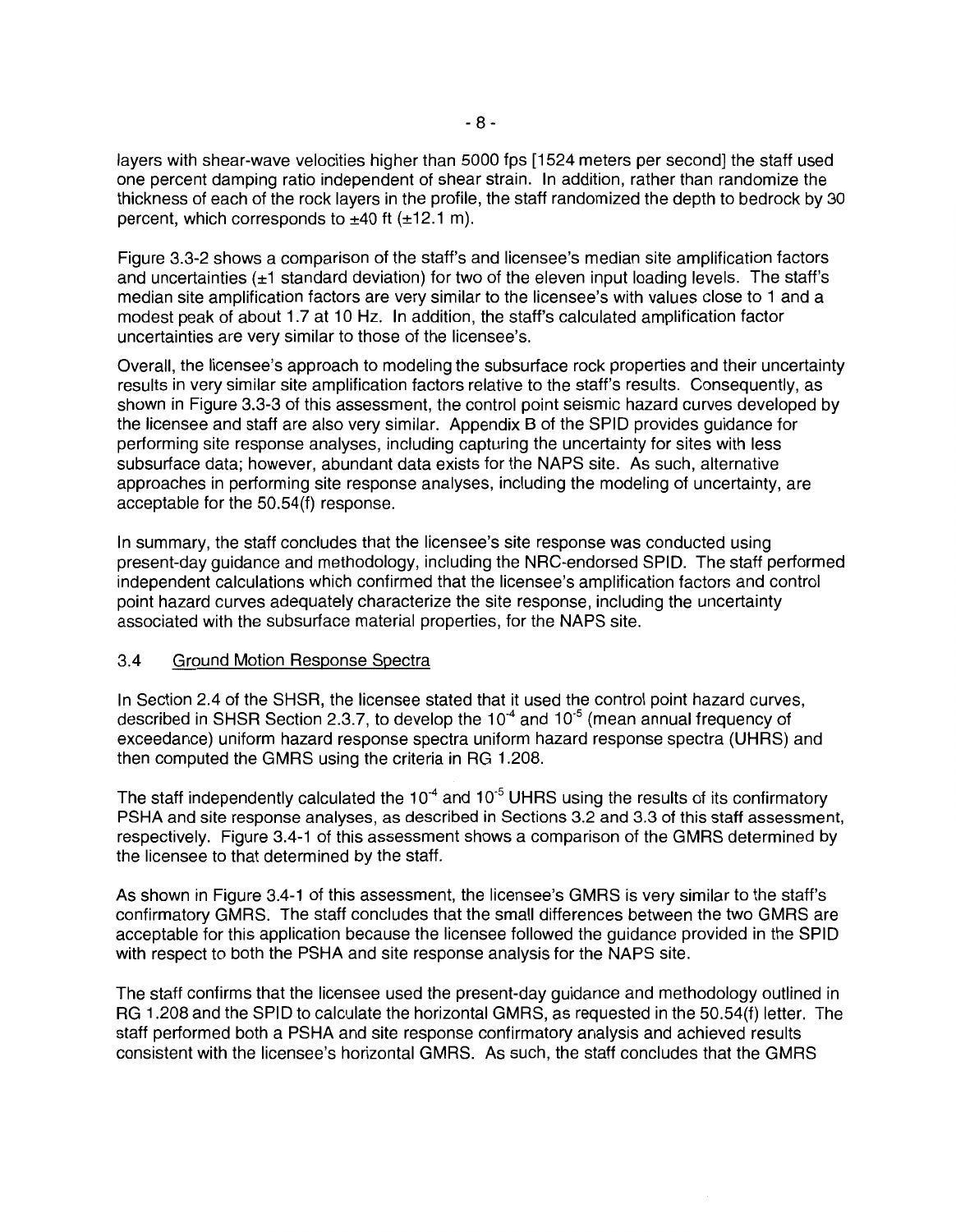layers with shear-wave velocities higher than 5000 fps [1524 meters per second] the staff used one percent damping ratio independent of shear strain. In addition, rather than randomize the thickness of each of the rock layers in the profile, the staff randomized the depth to bedrock by 30 percent, which corresponds to  $\pm 40$  ft ( $\pm 12.1$  m).

Figure 3.3-2 shows a comparison of the staff's and licensee's median site amplification factors and uncertainties  $(\pm 1)$  standard deviation) for two of the eleven input loading levels. The staff's median site amplification factors are very similar to the licensee's with values close to 1 and a modest peak of about 1.7 at 10 Hz. In addition, the staff's calculated amplification factor uncertainties are very similar to those of the licensee's.

Overall, the licensee's approach to modeling the subsurface rock properties and their uncertainty results in very similar site amplification factors relative to the staff's results. Consequently, as shown in Figure 3.3-3 of this assessment, the control point seismic hazard curves developed by the licensee and staff are also very similar. Appendix B of the SPID provides guidance for performing site response analyses, including capturing the uncertainty for sites with less subsurface data; however, abundant data exists for the NAPS site. As such, alternative approaches in performing site response analyses, including the modeling of uncertainty, are acceptable for the 50.54(f) response.

In summary, the staff concludes that the licensee's site response was conducted using present-day guidance and methodology, including the NRG-endorsed SPID. The staff performed independent calculations which confirmed that the licensee's amplification factors and control point hazard curves adequately characterize the site response, including the uncertainty associated with the subsurface material properties, for the NAPS site.

### 3.4 Ground Motion Response Spectra

In Section 2.4 of the SHSR, the licensee stated that it used the control point hazard curves, described in SHSR Section 2.3.7, to develop the  $10^{-4}$  and  $10^{-5}$  (mean annual frequency of exceedance) uniform hazard response spectra uniform hazard response spectra (UHRS) and then computed the GMRS using the criteria in RG 1.208.

The staff independently calculated the  $10^{-4}$  and  $10^{-5}$  UHRS using the results of its confirmatory PSHA and site response analyses, as described in Sections 3.2 and 3.3 of this staff assessment, respectively. Figure 3.4-1 of this assessment shows a comparison of the GMRS determined by the licensee to that determined by the staff.

As shown in Figure 3.4-1 of this assessment, the licensee's GMRS is very similar to the staff's confirmatory GMRS. The staff concludes that the small differences between the two GMRS are acceptable for this application because the licensee followed the guidance provided in the SPID with respect to both the PSHA and site response analysis for the NAPS site.

The staff confirms that the licensee used the present-day guidance and methodology outlined in RG 1.208 and the SPID to calculate the horizontal GMRS, as requested in the 50.54(f) letter. The staff performed both a PSHA and site response confirmatory analysis and achieved results consistent with the licensee's horizontal GMRS. As such, the staff concludes that the GMRS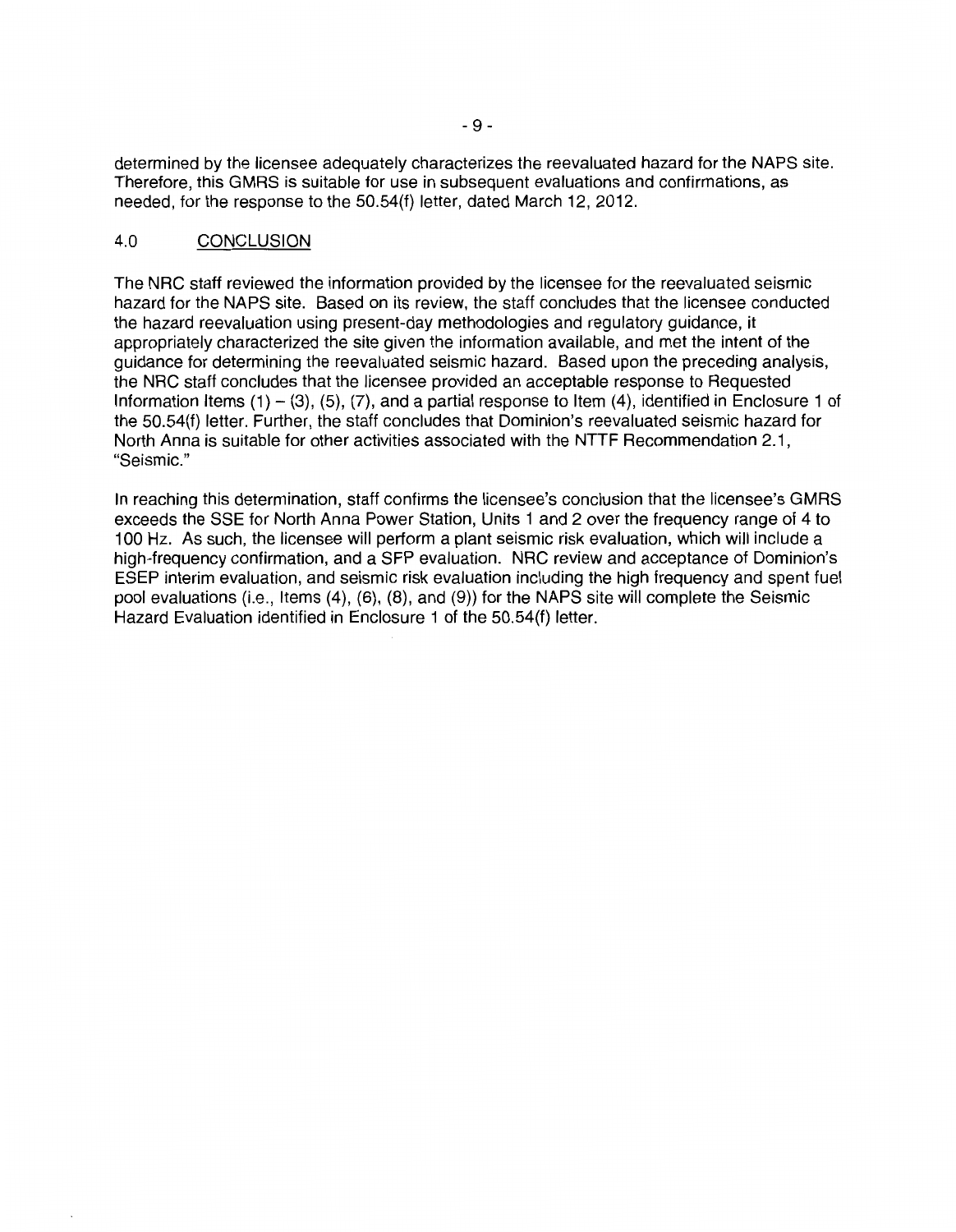determined by the licensee adequately characterizes the reevaluated hazard for the NAPS site. Therefore, this GMRS is suitable for use in subsequent evaluations and confirmations, as needed, for the response to the 50.54(f) letter, dated March 12, 2012.

## 4.0 CONCLUSION

The NRG staff reviewed the information provided by the licensee for the reevaluated seismic hazard for the NAPS site. Based on its review, the staff concludes that the licensee conducted the hazard reevaluation using present-day methodologies and regulatory guidance, it appropriately characterized the site given the information available, and met the intent of the guidance for determining the reevaluated seismic hazard. Based upon the preceding analysis, the NRG staff concludes that the licensee provided an acceptable response to Requested Information Items  $(1) - (3)$ ,  $(5)$ ,  $(7)$ , and a partial response to Item  $(4)$ , identified in Enclosure 1 of the 50.54(f) letter. Further, the staff concludes that Dominion's reevaluated seismic hazard for North Anna is suitable for other activities associated with the NTTF Recommendation 2.1 , "Seismic."

In reaching this determination, staff confirms the licensee's conclusion that the licensee's GMRS exceeds the SSE for North Anna Power Station, Units 1 and 2 over the frequency range of 4 to 100 Hz. As such, the licensee will perform a plant seismic risk evaluation, which will include a high-frequency confirmation, and a SFP evaluation. NRG review and acceptance of Dominion's ESEP interim evaluation, and seismic risk evaluation including the high frequency and spent fuel pool evaluations (i.e., Items (4), (6), (8), and (9)) for the NAPS site will complete the Seismic Hazard Evaluation identified in Enclosure 1 of the 50.54(f) letter.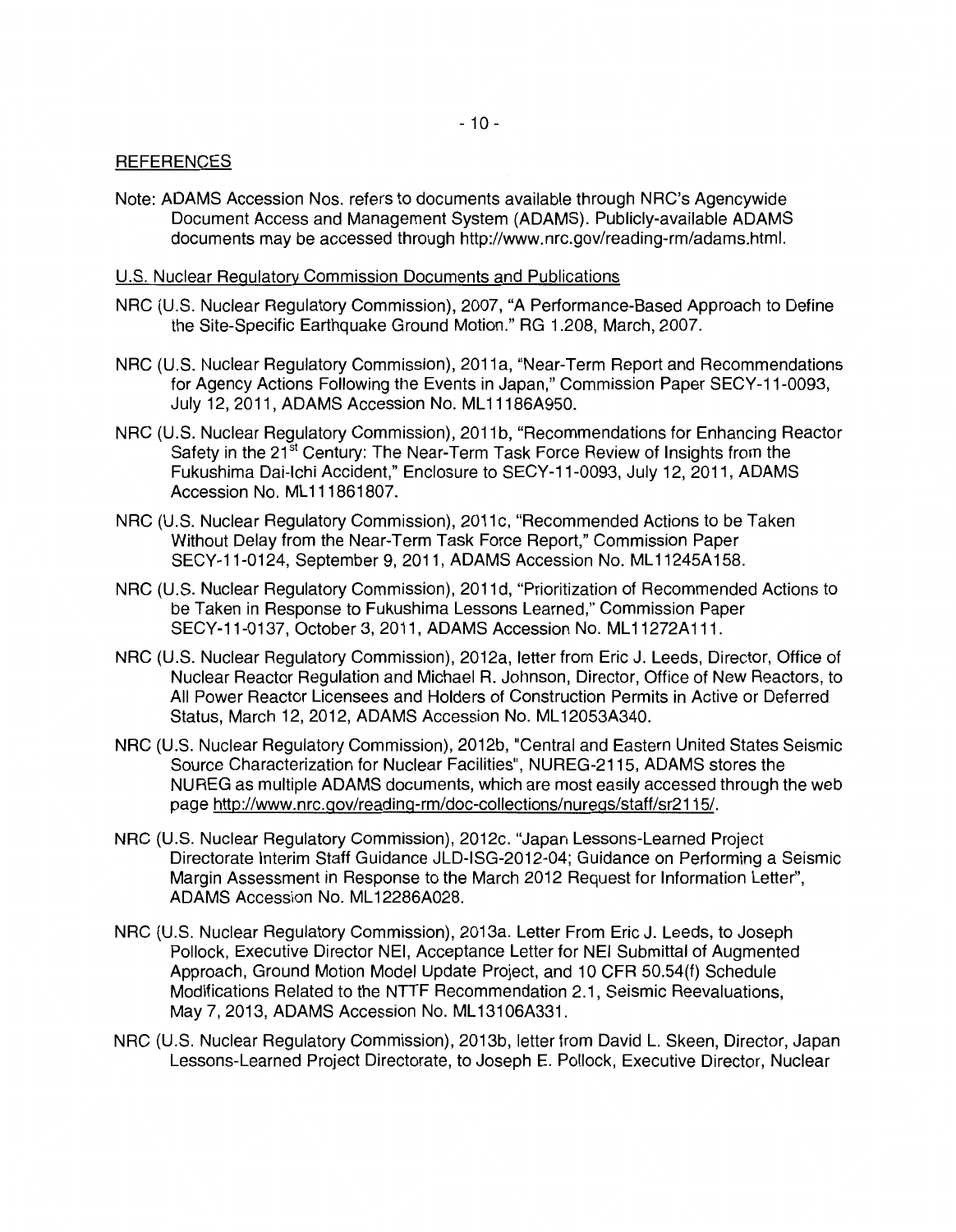#### **REFERENCES**

Note: ADAMS Accession Nos. refers to documents available through NRC's Agencywide Document Access and Management System (ADAMS). Publicly-available ADAMS documents may be accessed through http://www.nrc.gov/reading-rm/adams.html.

#### U.S. Nuclear Regulatory Commission Documents and Publications

- NRC (U.S. Nuclear Regulatory Commission), 2007, "A Performance-Based Approach to Define the Site-Specific Earthquake Ground Motion." RG 1.208, March, 2007.
- NRC (U.S. Nuclear Regulatory Commission), 2011a, "Near-Term Report and Recommendations for Agency Actions Following the Events in Japan," Commission Paper SECY-11-0093, July 12, 2011, ADAMS Accession No. ML 11186A950.
- NRC (U.S. Nuclear Regulatory Commission), 2011b, "Recommendations for Enhancing Reactor Safety in the 21<sup>st</sup> Century: The Near-Term Task Force Review of Insights from the Fukushima Dai-lchi Accident," Enclosure to SECY-11-0093, July 12, 2011, ADAMS Accession No. ML 111861807.
- NRC (U.S. Nuclear Regulatory Commission), 2011 c, "Recommended Actions to be Taken Without Delay from the Near-Term Task Force Report," Commission Paper SECY-11-0124, September 9, 2011, ADAMS Accession No. ML 11245A158.
- NRC (U.S. Nuclear Regulatory Commission), 2011 d, "Prioritization of Recommended Actions to be Taken in Response to Fukushima Lessons Learned," Commission Paper SECY-11-0137, October 3, 2011, ADAMS Accession No. ML 11272A 111.
- NRC (U.S. Nuclear Regulatory Commission), 2012a, letter from Eric J. Leeds, Director, Office of Nuclear Reactor Regulation and Michael R. Johnson, Director, Office of New Reactors, to All Power Reactor Licensees and Holders of Construction Permits in Active or Deferred Status, March 12, 2012, ADAMS Accession No. ML 12053A340.
- NRC (U.S. Nuclear Regulatory Commission), 2012b, "Central and Eastern United States Seismic Source Characterization for Nuclear Facilities", NUREG-2115, ADAMS stores the NUREG as multiple ADAMS documents, which are most easily accessed through the web page http://www.nrc.gov/reading-rm/doc-collections/nuregs/staff/sr2115/.
- NRC (U.S. Nuclear Regulatory Commission), 2012c. "Japan Lessons-Learned Project Directorate Interim Staff Guidance JLD-ISG-2012-04; Guidance on Performing a Seismic Margin Assessment in Response to the March 2012 Request for Information Letter", ADAMS Accession No. ML 12286A028.
- NRC (U.S. Nuclear Regulatory Commission), 2013a. Letter From Eric J. Leeds, to Joseph Pollock, Executive Director NEI, Acceptance Letter for NEI Submittal of Augmented Approach, Ground Motion Model Update Project, and 10 CFR 50.54(f) Schedule Modifications Related to the NTTF Recommendation 2.1, Seismic Reevaluations, May 7, 2013, ADAMS Accession No. ML 13106A331 .
- NRC (U.S. Nuclear Regulatory Commission), 2013b, letter from David L. Skeen, Director, Japan Lessons-Learned Project Directorate, to Joseph E. Pollock, Executive Director, Nuclear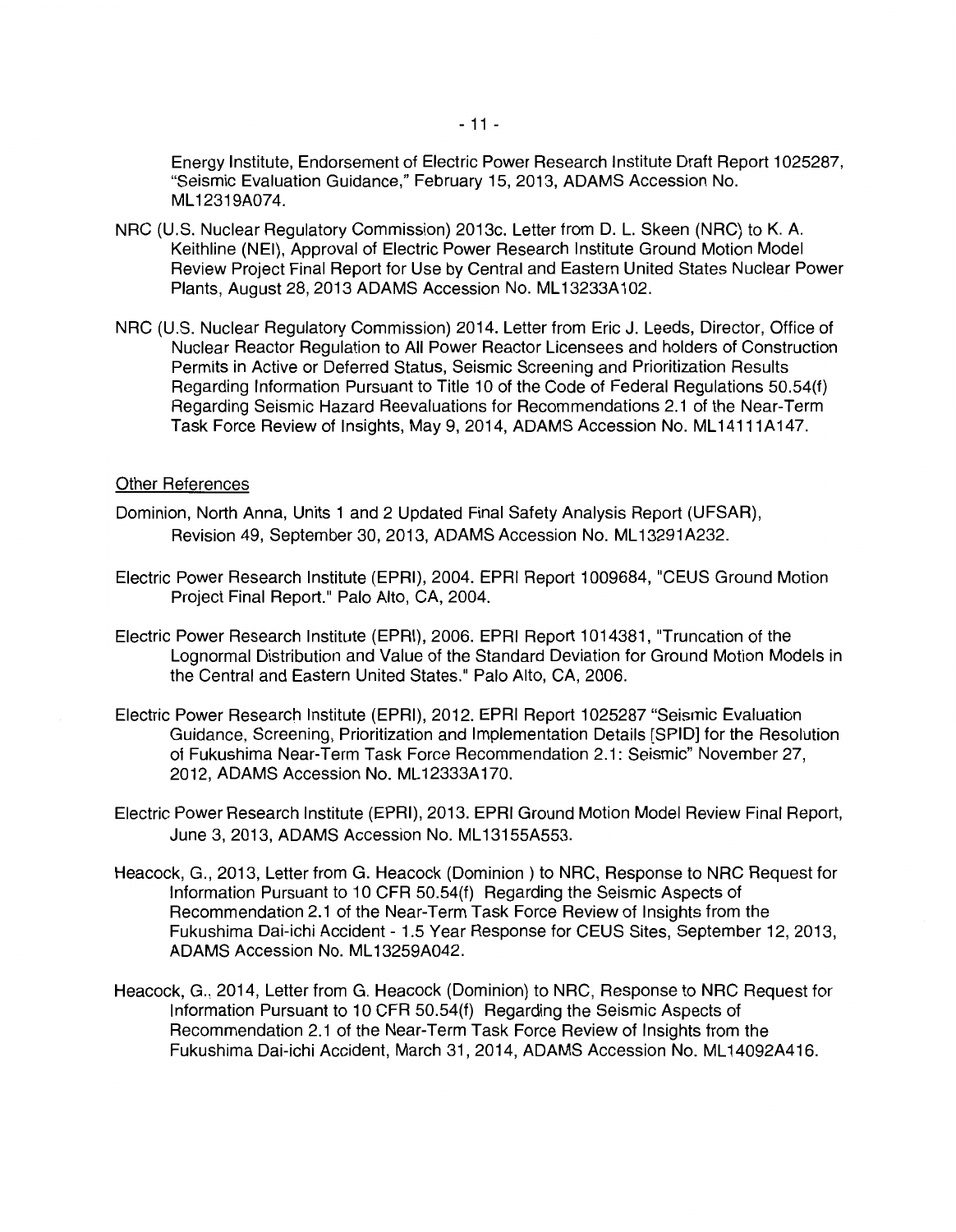Energy Institute, Endorsement of Electric Power Research Institute Draft Report 1025287, "Seismic Evaluation Guidance," February 15, 2013, ADAMS Accession No. ML 12319A074.

- NRC (U.S. Nuclear Regulatory Commission) 2013c. Letter from D. L. Skeen (NRC) to K. A. Keithline (NEI), Approval of Electric Power Research Institute Ground Motion Model Review Project Final Report for Use by Central and Eastern United States Nuclear Power Plants, August 28, 2013 ADAMS Accession No. ML 13233A 102.
- NRC (U.S. Nuclear Regulatory Commission) 2014. Letter from Eric J. Leeds, Director, Office of Nuclear Reactor Regulation to All Power Reactor Licensees and holders of Construction Permits in Active or Deferred Status, Seismic Screening and Prioritization Results Regarding Information Pursuant to Title 10 of the Code of Federal Regulations 50.54(f) Regarding Seismic Hazard Reevaluations for Recommendations 2.1 of the Near-Term Task Force Review of Insights, May 9, 2014, ADAMS Accession No. ML 14111A147.

#### Other References

- Dominion, North Anna, Units 1 and 2 Updated Final Safety Analysis Report (UFSAR), Revision 49, September 30, 2013, ADAMS Accession No. ML13291A232.
- Electric Power Research Institute (EPRI), 2004. EPRI Report 1009684, "CEUS Ground Motion Project Final Report." Palo Alto, CA, 2004.
- Electric Power Research Institute (EPRI), 2006. EPRI Report 1014381, "Truncation of the Lognormal Distribution and Value of the Standard Deviation for Ground Motion Models in the Central and Eastern United States." Palo Alto, CA, 2006.
- Electric Power Research Institute (EPRI), 2012. EPRI Report 1025287 "Seismic Evaluation Guidance, Screening, Prioritization and Implementation Details [SPID] for the Resolution of Fukushima Near-Term Task Force Recommendation 2.1: Seismic" November 27, 2012, ADAMS Accession No. ML 12333A 170.
- Electric Power Research Institute (EPRI), 2013. EPRI Ground Motion Model Review Final Report, June 3, 2013, ADAMS Accession No. ML13155A553.
- Heacock, G., 2013, Letter from G. Heacock (Dominion) to NRC, Response to NRC Request for Information Pursuant to 10 CFR 50.54(f) Regarding the Seismic Aspects of Recommendation 2.1 of the Near-Term Task Force Review of Insights from the Fukushima Dai-ichi Accident - 1.5 Year Response for CEUS Sites, September 12, 2013, ADAMS Accession No. ML 13259A042.
- Heacock, G., 2014, Letter from G. Heacock (Dominion) to NRC, Response to NRC Request for Information Pursuant to 10 CFR 50.54(f) Regarding the Seismic Aspects of Recommendation 2.1 of the Near-Term Task Force Review of Insights from the Fukushima Dai-ichi Accident, March 31, 2014, ADAMS Accession No. ML 14092A416.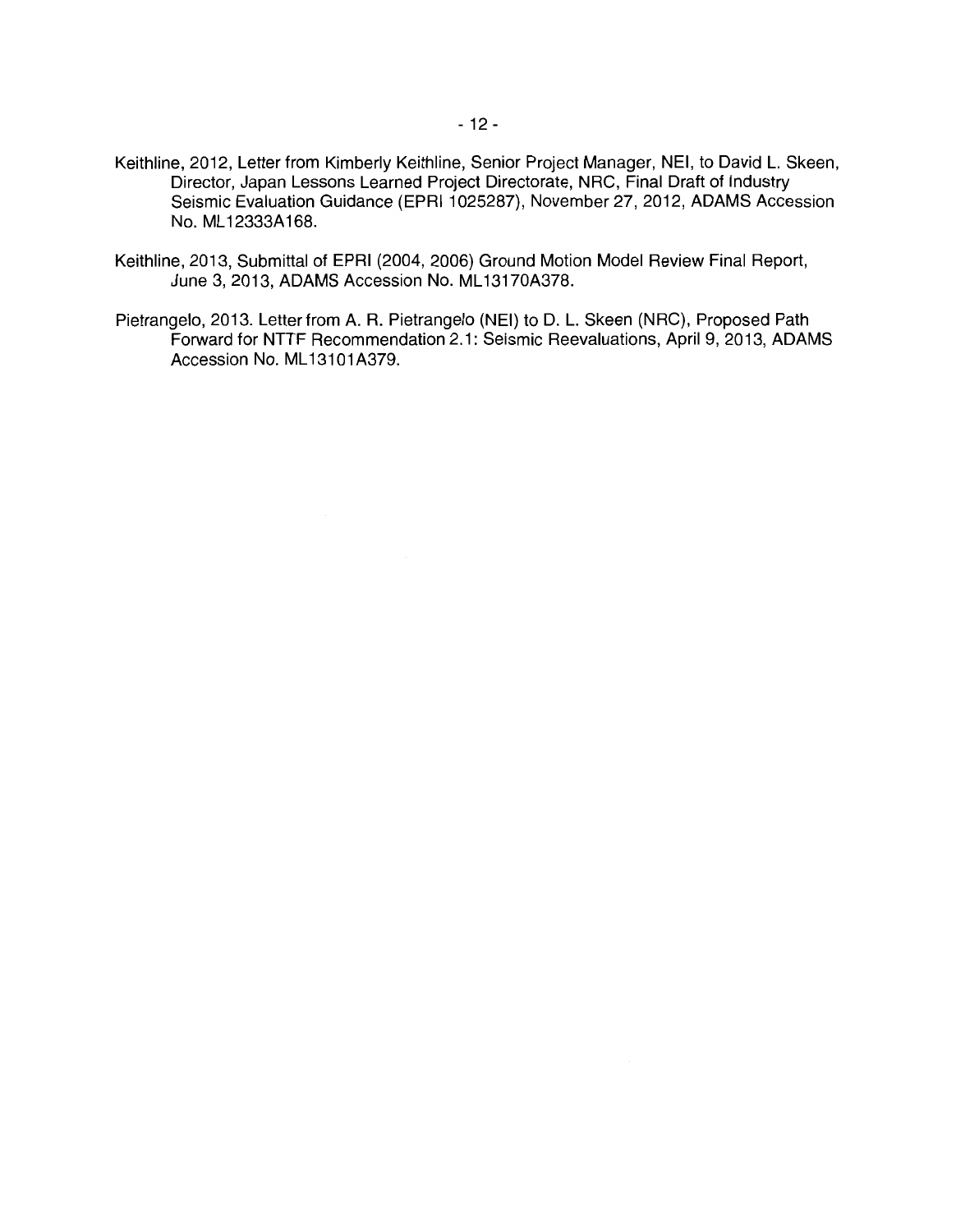- Keithline, 2012, Letter from Kimberly Keithline, Senior Project Manager, NEI, to David L. Skeen, Director, Japan Lessons Learned Project Directorate, NRC, Final Draft of Industry Seismic Evaluation Guidance (EPRI 1025287), November 27, 2012, ADAMS Accession No. ML 12333A168.
- Keithline, 2013, Submittal of EPRI (2004, 2006) Ground Motion Model Review Final Report, June 3, 2013, ADAMS Accession No. ML 13170A378.
- Pietrangelo, 2013. Letter from A. R. Pietrangelo (NEI) to D. L. Skeen (NRC), Proposed Path Forward for NTTF Recommendation 2.1: Seismic Reevaluations, April 9, 2013, ADAMS Accession No. ML 13101A379.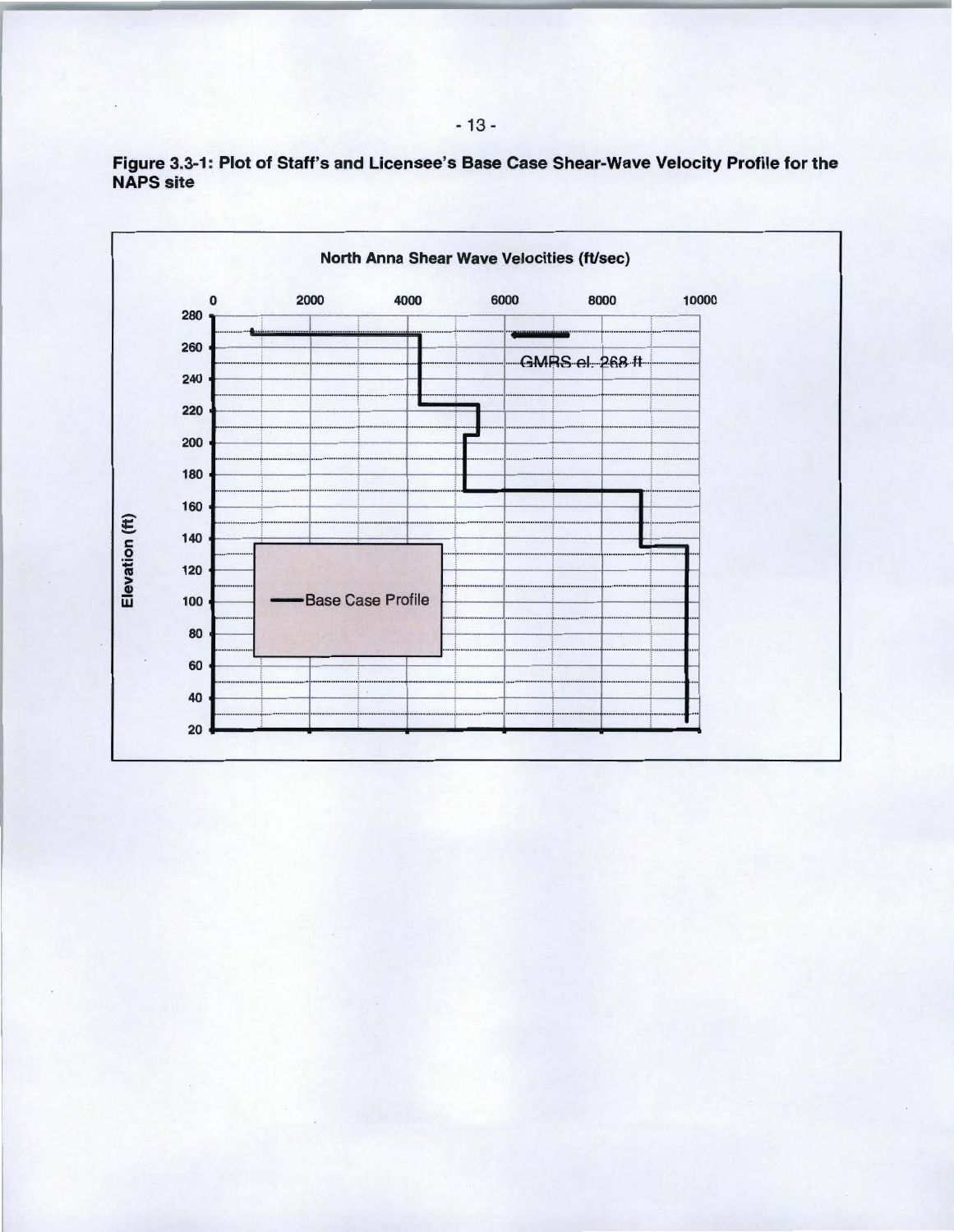

Figure 3.3-1: Plot of Staff's and Licensee's Base Case Shear-Wave Velocity Profile for the **NAPS** site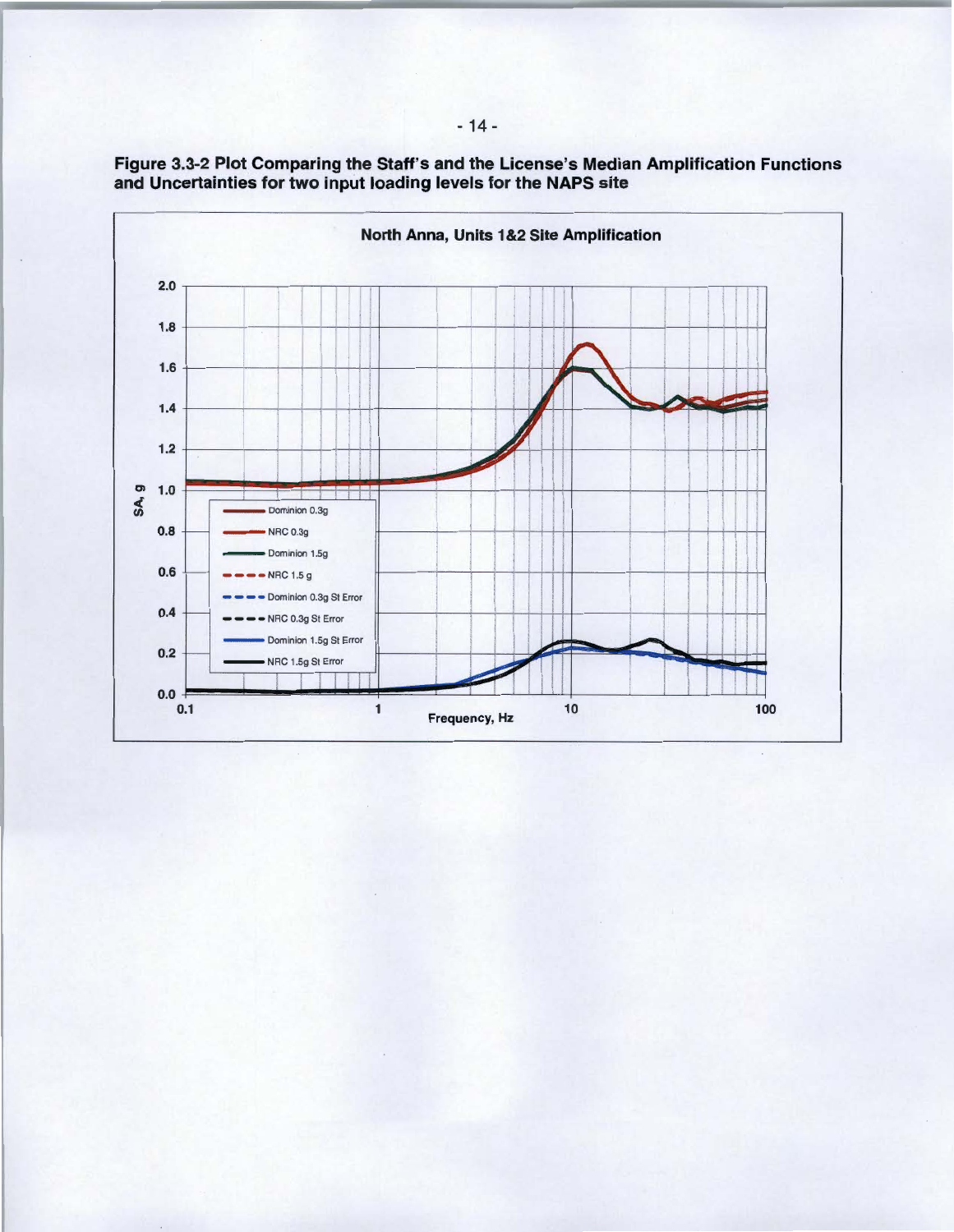

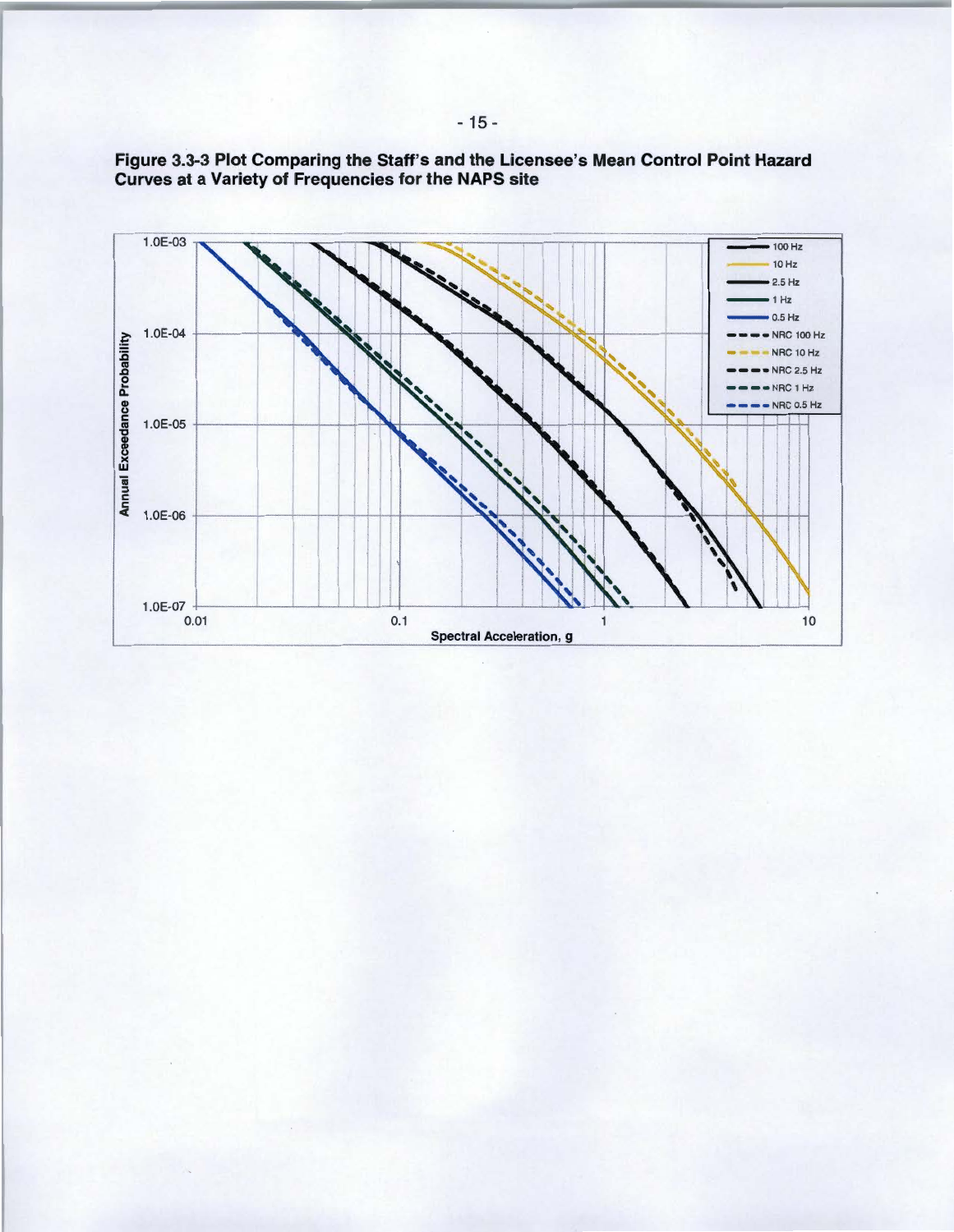

Figure 3.3-3 Plot Comparing the Staff's and the Licensee's Mean Control Point Hazard Curves at a Variety of Frequencies for the NAPS site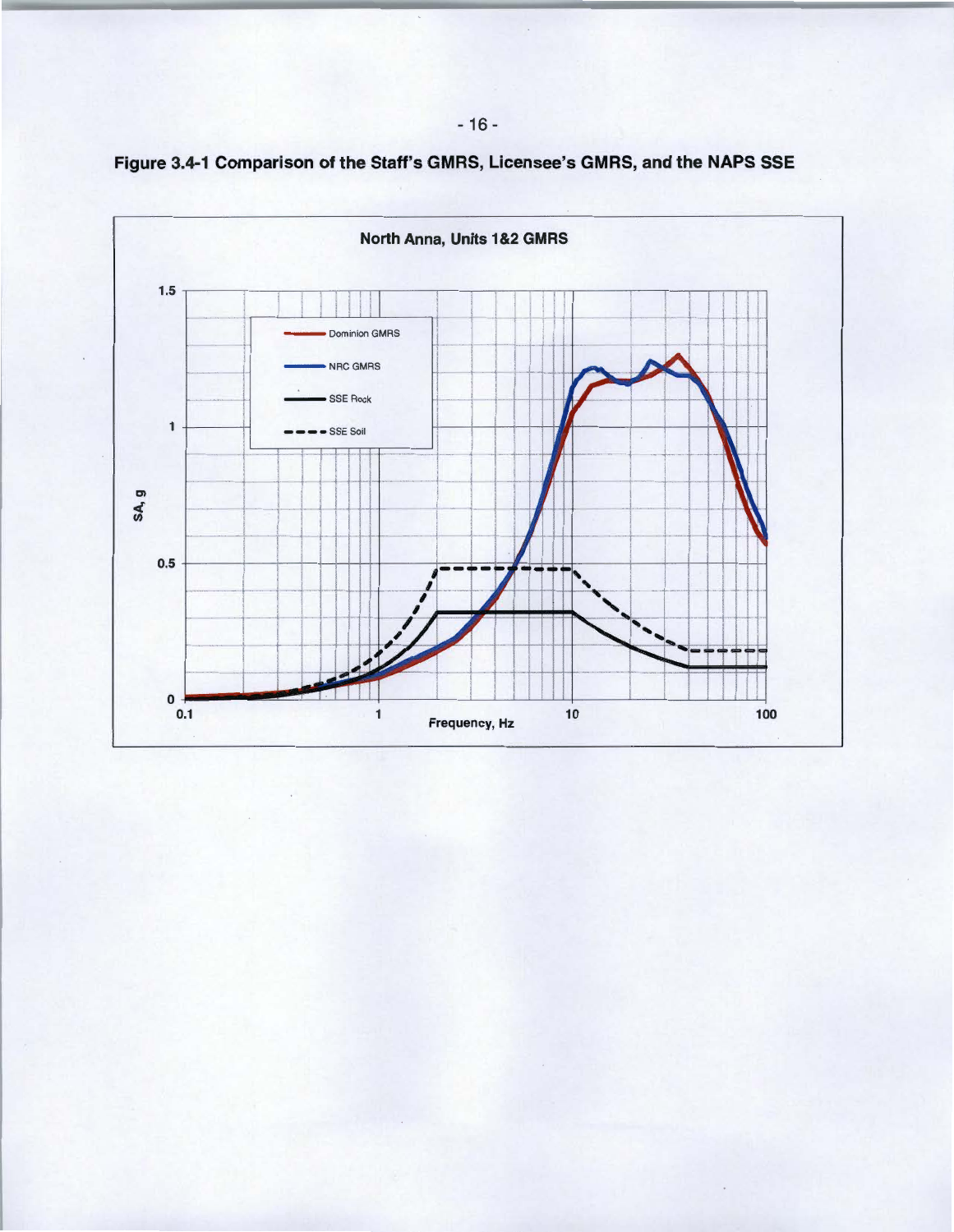